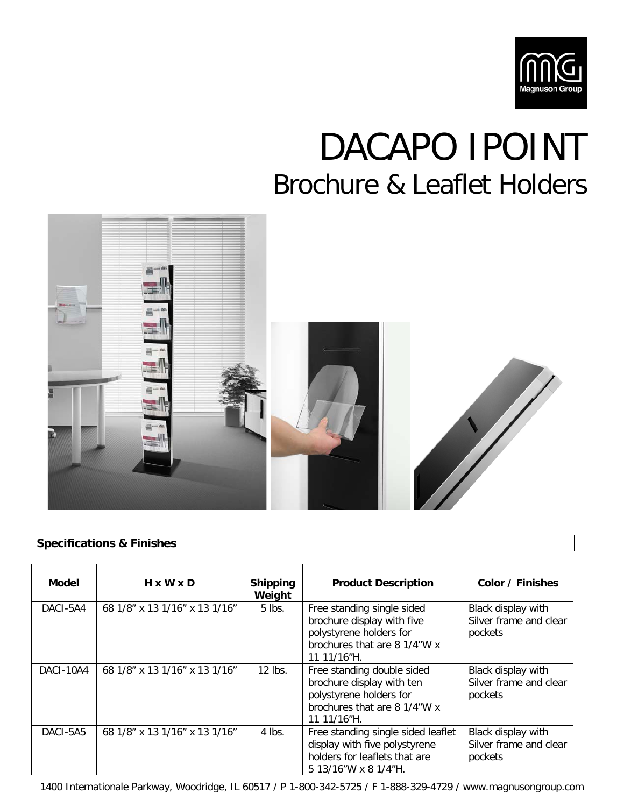

## DACAPO IPOINT Brochure & Leaflet Holders



## **Specifications & Finishes**

| <b>Model</b> | $H \times W \times D$         | <b>Shipping</b><br>Weight | <b>Product Description</b>                                                                                                         | Color / Finishes                                        |
|--------------|-------------------------------|---------------------------|------------------------------------------------------------------------------------------------------------------------------------|---------------------------------------------------------|
| DACI-5A4     | 68 1/8" x 13 1/16" x 13 1/16" | $5$ lbs.                  | Free standing single sided<br>brochure display with five<br>polystyrene holders for<br>brochures that are 8 1/4"W x<br>11 11/16"H. | Black display with<br>Silver frame and clear<br>pockets |
| DACI-10A4    | 68 1/8" x 13 1/16" x 13 1/16" | $12$ lbs.                 | Free standing double sided<br>brochure display with ten<br>polystyrene holders for<br>brochures that are 8 1/4"W x<br>11 11/16"H.  | Black display with<br>Silver frame and clear<br>pockets |
| DACI-5A5     | 68 1/8" x 13 1/16" x 13 1/16" | $4$ lbs.                  | Free standing single sided leaflet<br>display with five polystyrene<br>holders for leaflets that are<br>5 13/16"W x 8 1/4"H.       | Black display with<br>Silver frame and clear<br>pockets |

1400 Internationale Parkway, Woodridge, IL 60517 / P 1-800-342-5725 / F 1-888-329-4729 / www.magnusongroup.com